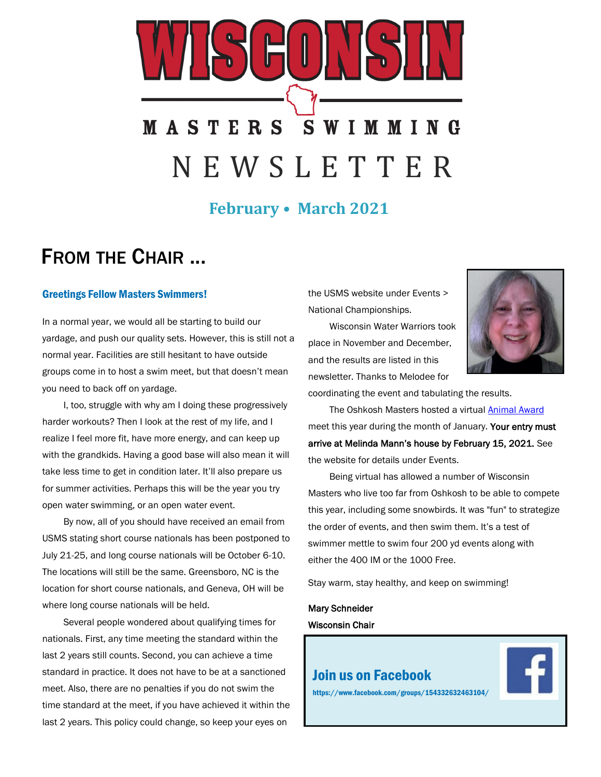# **MASTERS SWIMMING** N E W S L E T T E R

## **February • March 2021**

# FROM THE CHAIR ...

#### Greetings Fellow Masters Swimmers!

In a normal year, we would all be starting to build our yardage, and push our quality sets. However, this is still not a normal year. Facilities are still hesitant to have outside groups come in to host a swim meet, but that doesn't mean you need to back off on yardage.

I, too, struggle with why am I doing these progressively harder workouts? Then I look at the rest of my life, and I realize I feel more fit, have more energy, and can keep up with the grandkids. Having a good base will also mean it will take less time to get in condition later. It'll also prepare us for summer activities. Perhaps this will be the year you try open water swimming, or an open water event.

By now, all of you should have received an email from USMS stating short course nationals has been postponed to July 21-25, and long course nationals will be October 6-10. The locations will still be the same. Greensboro, NC is the location for short course nationals, and Geneva, OH will be where long course nationals will be held.

Several people wondered about qualifying times for nationals. First, any time meeting the standard within the last 2 years still counts. Second, you can achieve a time standard in practice. It does not have to be at a sanctioned meet. Also, there are no penalties if you do not swim the time standard at the meet, if you have achieved it within the last 2 years. This policy could change, so keep your eyes on

the USMS website under Events > National Championships.

Wisconsin Water Warriors took place in November and December, and the results are listed in this newsletter. Thanks to Melodee for



coordinating the event and tabulating the results.

The Oshkosh Masters hosted a virtual **Animal Award** meet this year during the month of January. Your entry must arrive at Melinda Mann's house by February 15, 2021. See the website for details under Events.

Being virtual has allowed a number of Wisconsin Masters who live too far from Oshkosh to be able to compete this year, including some snowbirds. It was "fun" to strategize the order of events, and then swim them. It's a test of swimmer mettle to swim four 200 yd events along with either the 400 IM or the 1000 Free.

Stay warm, stay healthy, and keep on swimming!

#### Mary Schneider Wisconsin Chair

#### [Join us on Facebook](https://www.facebook.com/groups/154332632463104/)



https://www.facebook.com/groups/154332632463104/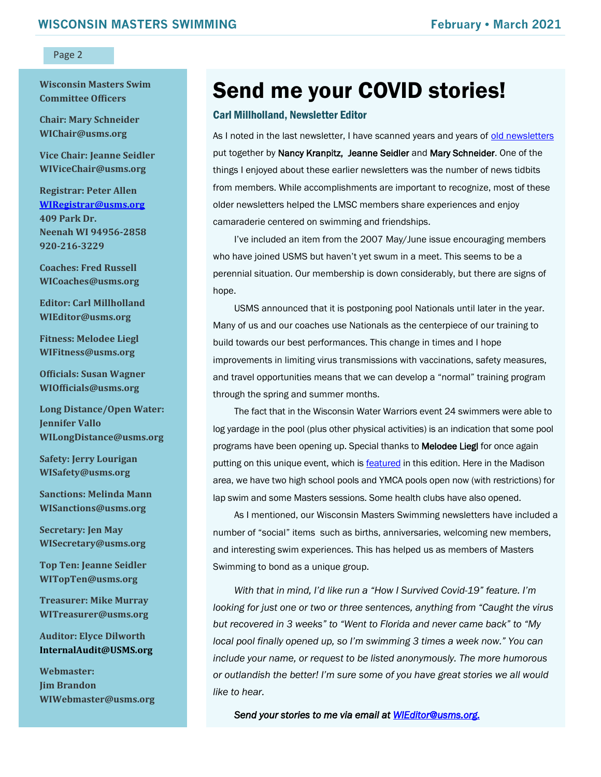**Wisconsin Masters Swim Committee Officers**

**Chair: Mary Schneider WIChair@usms.org**

**Vice Chair: Jeanne Seidler WIViceChair@usms.org**

**Registrar: Peter Allen [WIRegistrar@usms.org](mailto:WIRegistrar@usms.org) 409 Park Dr. Neenah WI 94956-2858 920-216-3229**

**Coaches: Fred Russell WICoaches@usms.org**

**Editor: Carl Millholland WIEditor@usms.org**

**Fitness: Melodee Liegl WIFitness@usms.org**

**Officials: Susan Wagner WIOfficials@usms.org**

**Long Distance/Open Water: Jennifer Vallo WILongDistance@usms.org**

**Safety: Jerry Lourigan WISafety@usms.org**

**Sanctions: Melinda Mann WISanctions@usms.org**

**Secretary: Jen May WISecretary@usms.org**

**Top Ten: Jeanne Seidler WITopTen@usms.org**

**Treasurer: Mike Murray WITreasurer@usms.org**

**Auditor: Elyce Dilworth [InternalAudit@USMS.org](mailto:InternalAudit@USMS.org)**

**Webmaster: Jim Brandon WIWebmaster@usms.org**

# Send me your COVID stories!

#### Carl Millholland, Newsletter Editor

As I noted in the last newsletter, I have scanned years and years of [old newsletters](https://www.wisconsinmastersswimming.com/page.cfm?pagetitle=News+Archive) put together by Nancy Kranpitz, Jeanne Seidler and Mary Schneider. One of the things I enjoyed about these earlier newsletters was the number of news tidbits from members. While accomplishments are important to recognize, most of these older newsletters helped the LMSC members share experiences and enjoy camaraderie centered on swimming and friendships.

I've included an item from the 2007 May/June issue encouraging members who have joined USMS but haven't yet swum in a meet. This seems to be a perennial situation. Our membership is down considerably, but there are signs of hope.

USMS announced that it is postponing pool Nationals until later in the year. Many of us and our coaches use Nationals as the centerpiece of our training to build towards our best performances. This change in times and I hope improvements in limiting virus transmissions with vaccinations, safety measures, and travel opportunities means that we can develop a "normal" training program through the spring and summer months.

The fact that in the Wisconsin Water Warriors event 24 swimmers were able to log yardage in the pool (plus other physical activities) is an indication that some pool programs have been opening up. Special thanks to Melodee Liegl for once again putting on this unique event, which is [featured](#page-4-0) in this edition. Here in the Madison area, we have two high school pools and YMCA pools open now (with restrictions) for lap swim and some Masters sessions. Some health clubs have also opened.

As I mentioned, our Wisconsin Masters Swimming newsletters have included a number of "social" items such as births, anniversaries, welcoming new members, and interesting swim experiences. This has helped us as members of Masters Swimming to bond as a unique group.

*With that in mind, I'd like run a "How I Survived Covid-19" feature. I'm looking for just one or two or three sentences, anything from "Caught the virus but recovered in 3 weeks" to "Went to Florida and never came back" to "My local pool finally opened up, so I'm swimming 3 times a week now." You can include your name, or request to be listed anonymously. The more humorous or outlandish the better! I'm sure some of you have great stories we all would like to hear.* 

*Send your stories to me via email at [WIEditor@usms.org.](mailto:WIEditor@usms.org?subject=My%20Covid-19%20Story)*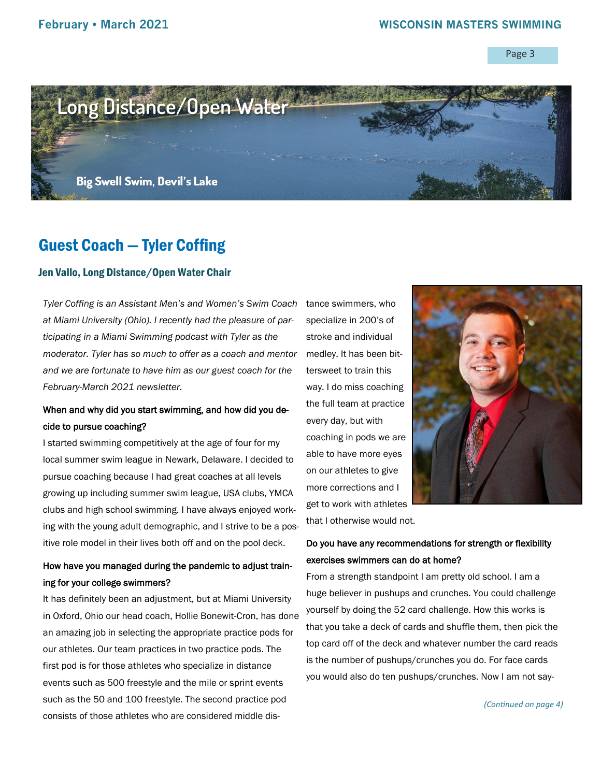

# Guest Coach — Tyler Coffing

#### Jen Vallo, Long Distance/Open Water Chair

*Tyler Coffing is an Assistant Men's and Women's Swim Coach at Miami University (Ohio). I recently had the pleasure of participating in a Miami Swimming podcast with Tyler as the moderator. Tyler has so much to offer as a coach and mentor and we are fortunate to have him as our guest coach for the February-March 2021 newsletter.*

#### When and why did you start swimming, and how did you decide to pursue coaching?

I started swimming competitively at the age of four for my local summer swim league in Newark, Delaware. I decided to pursue coaching because I had great coaches at all levels growing up including summer swim league, USA clubs, YMCA clubs and high school swimming. I have always enjoyed working with the young adult demographic, and I strive to be a positive role model in their lives both off and on the pool deck.

#### How have you managed during the pandemic to adjust training for your college swimmers?

It has definitely been an adjustment, but at Miami University in Oxford, Ohio our head coach, Hollie Bonewit-Cron, has done an amazing job in selecting the appropriate practice pods for our athletes. Our team practices in two practice pods. The first pod is for those athletes who specialize in distance events such as 500 freestyle and the mile or sprint events such as the 50 and 100 freestyle. The second practice pod consists of those athletes who are considered middle dis-

tance swimmers, who specialize in 200's of stroke and individual medley. It has been bittersweet to train this way. I do miss coaching the full team at practice every day, but with coaching in pods we are able to have more eyes on our athletes to give more corrections and I get to work with athletes



that I otherwise would not.

#### Do you have any recommendations for strength or flexibility exercises swimmers can do at home?

From a strength standpoint I am pretty old school. I am a huge believer in pushups and crunches. You could challenge yourself by doing the 52 card challenge. How this works is that you take a deck of cards and shuffle them, then pick the top card off of the deck and whatever number the card reads is the number of pushups/crunches you do. For face cards you would also do ten pushups/crunches. Now I am not say-

*(Continued on page 4)*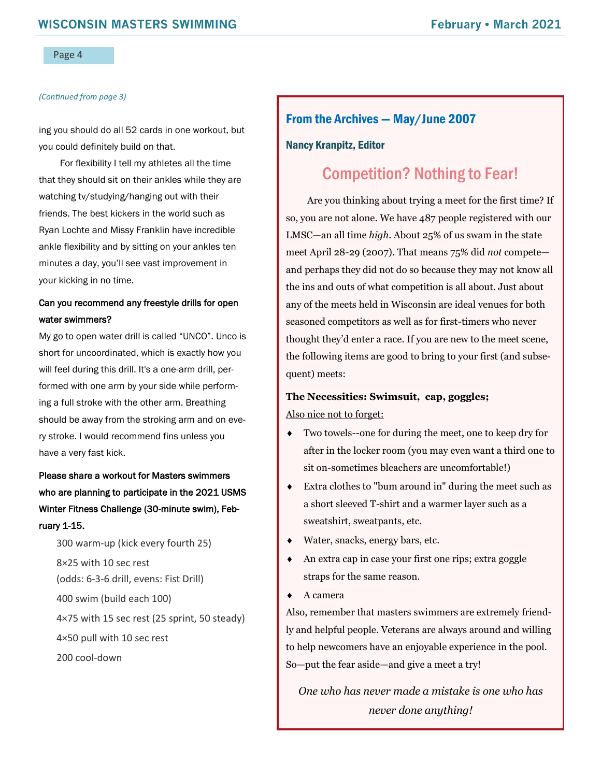#### *(Continued from page 3)*

ing you should do all 52 cards in one workout, but you could definitely build on that.

For flexibility I tell my athletes all the time that they should sit on their ankles while they are watching tv/studying/hanging out with their friends. The best kickers in the world such as Ryan Lochte and Missy Franklin have incredible ankle flexibility and by sitting on your ankles ten minutes a day, you'll see vast improvement in your kicking in no time.

#### Can you recommend any freestyle drills for open water swimmers?

My go to open water drill is called "UNCO". Unco is short for uncoordinated, which is exactly how you will feel during this drill. It's a one-arm drill, performed with one arm by your side while performing a full stroke with the other arm. Breathing should be away from the stroking arm and on every stroke. I would recommend fins unless you have a very fast kick.

Please share a workout for Masters swimmers who are planning to participate in the 2021 USMS Winter Fitness Challenge (30-minute swim), February 1-15.

300 warm-up (kick every fourth 25) 8×25 with 10 sec rest (odds: 6-3-6 drill, evens: Fist Drill) 400 swim (build each 100) 4×75 with 15 sec rest (25 sprint, 50 steady) 4×50 pull with 10 sec rest 200 cool-down

#### From the Archives — May/June 2007

#### Nancy Kranpitz, Editor

### Competition? Nothing to Fear!

Are you thinking about trying a meet for the first time? If so, you are not alone. We have 487 people registered with our LMSC—an all time *high*. About 25% of us swam in the state meet April 28-29 (2007). That means 75% did *not* compete and perhaps they did not do so because they may not know all the ins and outs of what competition is all about. Just about any of the meets held in Wisconsin are ideal venues for both seasoned competitors as well as for first-timers who never thought they'd enter a race. If you are new to the meet scene, the following items are good to bring to your first (and subsequent) meets:

#### **The Necessities: Swimsuit, cap, goggles;**  Also nice not to forget:

- Two towels--one for during the meet, one to keep dry for after in the locker room (you may even want a third one to sit on-sometimes bleachers are uncomfortable!)
- Extra clothes to "bum around in" during the meet such as a short sleeved T-shirt and a warmer layer such as a sweatshirt, sweatpants, etc.
- Water, snacks, energy bars, etc.
- An extra cap in case your first one rips; extra goggle straps for the same reason.
- ◆ A camera

Also, remember that masters swimmers are extremely friendly and helpful people. Veterans are always around and willing to help newcomers have an enjoyable experience in the pool. So—put the fear aside—and give a meet a try!

*One who has never made a mistake is one who has never done anything!*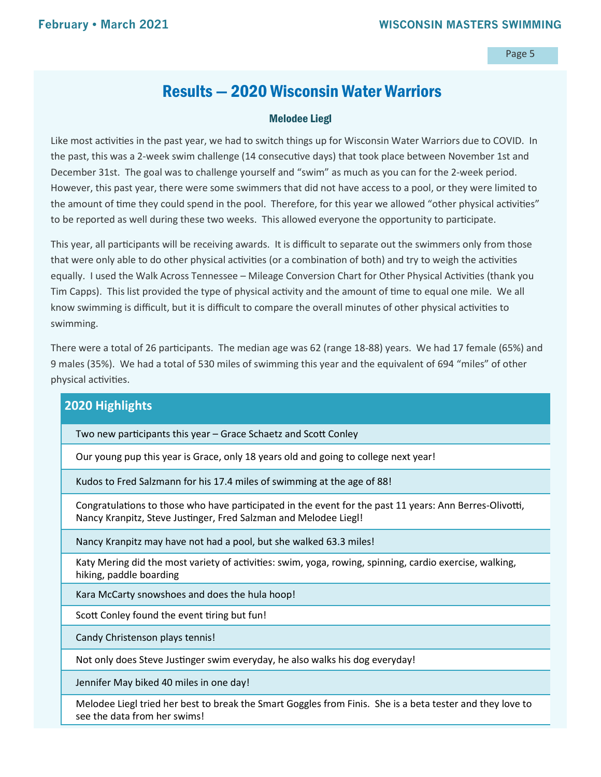# Results — 2020 Wisconsin Water Warriors

#### Melodee Liegl

<span id="page-4-0"></span>Like most activities in the past year, we had to switch things up for Wisconsin Water Warriors due to COVID. In the past, this was a 2-week swim challenge (14 consecutive days) that took place between November 1st and December 31st. The goal was to challenge yourself and "swim" as much as you can for the 2-week period. However, this past year, there were some swimmers that did not have access to a pool, or they were limited to the amount of time they could spend in the pool. Therefore, for this year we allowed "other physical activities" to be reported as well during these two weeks. This allowed everyone the opportunity to participate.

This year, all participants will be receiving awards. It is difficult to separate out the swimmers only from those that were only able to do other physical activities (or a combination of both) and try to weigh the activities equally. I used the Walk Across Tennessee – Mileage Conversion Chart for Other Physical Activities (thank you Tim Capps). This list provided the type of physical activity and the amount of time to equal one mile. We all know swimming is difficult, but it is difficult to compare the overall minutes of other physical activities to swimming.

There were a total of 26 participants. The median age was 62 (range 18-88) years. We had 17 female (65%) and 9 males (35%). We had a total of 530 miles of swimming this year and the equivalent of 694 "miles" of other physical activities.

#### **2020 Highlights**

Two new participants this year – Grace Schaetz and Scott Conley

Our young pup this year is Grace, only 18 years old and going to college next year!

Kudos to Fred Salzmann for his 17.4 miles of swimming at the age of 88!

Congratulations to those who have participated in the event for the past 11 years: Ann Berres-Olivotti, Nancy Kranpitz, Steve Justinger, Fred Salzman and Melodee Liegl!

Nancy Kranpitz may have not had a pool, but she walked 63.3 miles!

Katy Mering did the most variety of activities: swim, yoga, rowing, spinning, cardio exercise, walking, hiking, paddle boarding

Kara McCarty snowshoes and does the hula hoop!

Scott Conley found the event tiring but fun!

Candy Christenson plays tennis!

Not only does Steve Justinger swim everyday, he also walks his dog everyday!

Jennifer May biked 40 miles in one day!

Melodee Liegl tried her best to break the Smart Goggles from Finis. She is a beta tester and they love to see the data from her swims!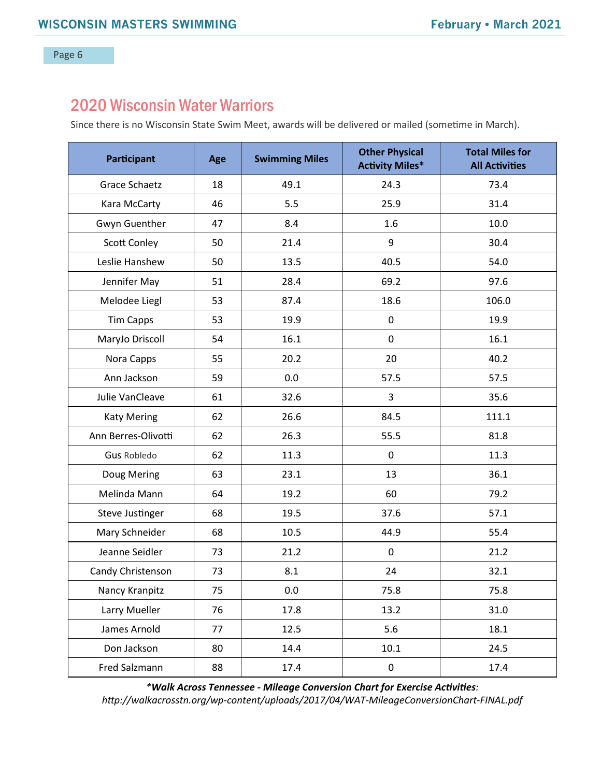## 2020 Wisconsin Water Warriors

Since there is no Wisconsin State Swim Meet, awards will be delivered or mailed (sometime in March).

| Participant         | Age | <b>Swimming Miles</b> | <b>Other Physical</b><br><b>Activity Miles*</b> | <b>Total Miles for</b><br><b>All Activities</b> |
|---------------------|-----|-----------------------|-------------------------------------------------|-------------------------------------------------|
| Grace Schaetz       | 18  | 49.1                  | 24.3                                            | 73.4                                            |
| Kara McCarty        | 46  | 5.5                   | 25.9                                            | 31.4                                            |
| Gwyn Guenther       | 47  | 8.4                   | 1.6                                             | 10.0                                            |
| Scott Conley        | 50  | 21.4                  | $\boldsymbol{9}$                                | 30.4                                            |
| Leslie Hanshew      | 50  | 13.5                  | 40.5                                            | 54.0                                            |
| Jennifer May        | 51  | 28.4                  | 69.2                                            | 97.6                                            |
| Melodee Liegl       | 53  | 87.4                  | 18.6                                            | 106.0                                           |
| <b>Tim Capps</b>    | 53  | 19.9                  | $\mathsf 0$                                     | 19.9                                            |
| MaryJo Driscoll     | 54  | 16.1                  | $\mathbf 0$                                     | 16.1                                            |
| Nora Capps          | 55  | 20.2                  | 20                                              | 40.2                                            |
| Ann Jackson         | 59  | 0.0                   | 57.5                                            | 57.5                                            |
| Julie VanCleave     | 61  | 32.6                  | 3                                               | 35.6                                            |
| <b>Katy Mering</b>  | 62  | 26.6                  | 84.5                                            | 111.1                                           |
| Ann Berres-Olivotti | 62  | 26.3                  | 55.5                                            | 81.8                                            |
| <b>Gus Robledo</b>  | 62  | 11.3                  | $\mathbf 0$                                     | 11.3                                            |
| Doug Mering         | 63  | 23.1                  | 13                                              | 36.1                                            |
| Melinda Mann        | 64  | 19.2                  | 60                                              | 79.2                                            |
| Steve Justinger     | 68  | 19.5                  | 37.6                                            | 57.1                                            |
| Mary Schneider      | 68  | 10.5                  | 44.9                                            | 55.4                                            |
| Jeanne Seidler      | 73  | 21.2                  | $\mathsf 0$                                     | 21.2                                            |
| Candy Christenson   | 73  | 8.1                   | 24                                              | 32.1                                            |
| Nancy Kranpitz      | 75  | 0.0                   | 75.8                                            | 75.8                                            |
| Larry Mueller       | 76  | 17.8                  | 13.2                                            | 31.0                                            |
| James Arnold        | 77  | 12.5                  | 5.6                                             | 18.1                                            |
| Don Jackson         | 80  | 14.4                  | 10.1                                            | 24.5                                            |
| Fred Salzmann       | 88  | 17.4                  | $\mathbf 0$                                     | 17.4                                            |

*\*Walk Across Tennessee - Mileage Conversion Chart for Exercise Activities:* 

*http://walkacrosstn.org/wp-content/uploads/2017/04/WAT-MileageConversionChart-FINAL.pdf*